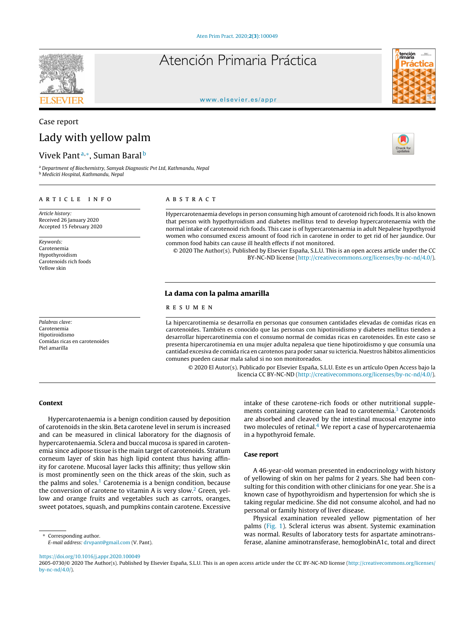# Atención Primaria Práctica



#### [www.elsevier.es/appr](http://www.elsevier.es/appr)

## Case report Lady with yellow palm

### Vivek Pant<sup>a,</sup>\*, Suman Baral<sup>b</sup>

<sup>a</sup> *Department of Biochemistry, Samyak Diagnostic Pvt Ltd, Kathmandu, Nepal* <sup>b</sup> *Mediciti Hospital, Kathmandu, Nepal*

#### a r t i c l e i n f o

*Article history:* Received 26 January 2020 Accepted 15 February 2020

*Keywords:* Carotenemia Hypothyroidism Carotenoids rich foods Yellow skin

*Palabras clave:* Carotenemia Hipotiroidismo Comidas ricas en carotenoides Piel amarilla

#### A B S T R A C T

Hypercarotenaemia develops in person consuming high amount of carotenoid rich foods. It is also known that person with hypothyroidism and diabetes mellitus tend to develop hypercarotenaemia with the normal intake of carotenoid rich foods. This case is of hypercarotenaemia in adult Nepalese hypothyroid women who consumed excess amount of food rich in carotene in order to get rid of her jaundice. Our common food habits can cause ill health effects if not monitored.

© 2020 The Author(s). Published by Elsevier España, S.L.U. This is an open access article under the CC BY-NC-ND license [\(http://creativecommons.org/licenses/by-nc-nd/4.0/](http://creativecommons.org/licenses/by-nc-nd/4.0/)).

#### La dama con la palma amarilla

#### r e s u m e n

La hipercarotinemia se desarrolla en personas que consumen cantidades elevadas de comidas ricas en carotenoides. También es conocido que las personas con hipotiroidismo y diabetes mellitus tienden a desarrollar hipercarotinemia con el consumo normal de comidas ricas en carotenoides. En este caso se presenta hipercarotinemia en una mujer adulta nepalesa que tiene hipotiroidismo y que consumía una cantidad excesiva de comida rica en carotenos para poder sanar su ictericia. Nuestros hábitos alimenticios comunes pueden causar mala salud si no son monitoreados.

© 2020 El Autor(s). Publicado por Elsevier España, S.L.U. Este es un artículo Open Access bajo la licencia CC BY-NC-ND [\(http://creativecommons.org/licenses/by-nc-nd/4.0/](http://creativecommons.org/licenses/by-nc-nd/4.0/)).

#### Context

Hypercarotenaemia is a benign condition caused by deposition of carotenoids in the skin. Beta carotene level in serum is increased and can be measured in clinical laboratory for the diagnosis of hypercarotenaemia. Sclera and buccal mucosa is spared in carotenemia since adipose tissue is the main target of carotenoids. Stratum corneum layer of skin has high lipid content thus having affinity for carotene. Mucosal layer lacks this affinity; thus yellow skin is most prominently seen on the thick areas of the skin, such as the palms and soles. $1$  Carotenemia is a benign condition, because the conversion of carotene to vitamin A is very slow.<sup>[2](#page-1-0)</sup> Green, yellow and orange fruits and vegetables such as carrots, oranges, sweet potatoes, squash, and pumpkins contain carotene. Excessive

Corresponding author. *E-mail address:* [drvpant@gmail.com](mailto:drvpant@gmail.com) (V. Pant). intake of these carotene-rich foods or other nutritional supple-ments containing carotene can lead to carotenemia.<sup>3</sup> [C](#page-1-0)arotenoids are absorbed and cleaved by the intestinal mucosal enzyme into two molecules of retinal. $4$  We report a case of hypercarotenaemia in a hypothyroid female.

#### Case report

A 46-year-old woman presented in endocrinology with history of yellowing of skin on her palms for 2 years. She had been consulting for this condition with other clinicians for one year. She is a known case of hypothyroidism and hypertension for which she is taking regular medicine. She did not consume alcohol, and had no personal or family history of liver disease.

Physical examination revealed yellow pigmentation of her palms ([Fig.](#page-1-0) 1). Scleral icterus was absent. Systemic examination was normal. Results of laboratory tests for aspartate aminotransferase, alanine aminotransferase, hemoglobinA1c, total and direct

<https://doi.org/10.1016/j.appr.2020.100049>

2605-0730/© 2020 The Author(s). Published by Elsevier España, S.L.U. This is an open access article under the CC BY-NC-ND license [\(http://creativecommons.org/licenses/](http://creativecommons.org/licenses/by-nc-nd/4.0/) [by-nc-nd/4.0/\)](http://creativecommons.org/licenses/by-nc-nd/4.0/).